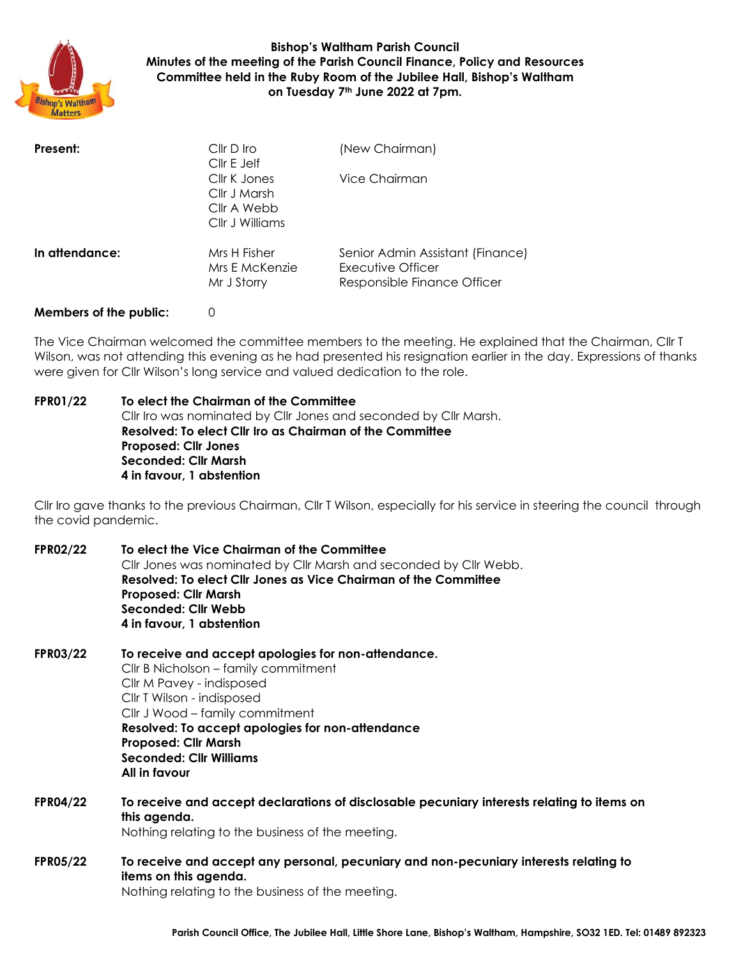

# **Bishop's Waltham Parish Council Minutes of the meeting of the Parish Council Finance, Policy and Resources Committee held in the Ruby Room of the Jubilee Hall, Bishop's Waltham on Tuesday 7th June 2022 at 7pm.**

| Present:       | Cllr D Iro<br>Cllr E Jelf                                      | (New Chairman)                                                                       |
|----------------|----------------------------------------------------------------|--------------------------------------------------------------------------------------|
|                | Cllr K Jones<br>Cllr J Marsh<br>Cllr A Webb<br>Cllr J Williams | Vice Chairman                                                                        |
| In attendance: | Mrs H Fisher<br>Mrs E McKenzie<br>Mr J Storry                  | Senior Admin Assistant (Finance)<br>Executive Officer<br>Responsible Finance Officer |

#### **Members of the public:** 0

The Vice Chairman welcomed the committee members to the meeting. He explained that the Chairman, Cllr T Wilson, was not attending this evening as he had presented his resignation earlier in the day. Expressions of thanks were given for Cllr Wilson's long service and valued dedication to the role.

#### **FPR01/22 To elect the Chairman of the Committee** Cllr Iro was nominated by Cllr Jones and seconded by Cllr Marsh. **Resolved: To elect Cllr Iro as Chairman of the Committee Proposed: Cllr Jones Seconded: Cllr Marsh 4 in favour, 1 abstention**

Cllr Iro gave thanks to the previous Chairman, Cllr T Wilson, especially for his service in steering the council through the covid pandemic.

**FPR02/22 To elect the Vice Chairman of the Committee** Cllr Jones was nominated by Cllr Marsh and seconded by Cllr Webb. **Resolved: To elect Cllr Jones as Vice Chairman of the Committee Proposed: Cllr Marsh Seconded: Cllr Webb 4 in favour, 1 abstention** 

**FPR03/22 To receive and accept apologies for non-attendance.** Cllr B Nicholson – family commitment Cllr M Pavey - indisposed Cllr T Wilson - indisposed Cllr J Wood – family commitment **Resolved: To accept apologies for non-attendance Proposed: Cllr Marsh Seconded: Cllr Williams All in favour**

- **FPR04/22 To receive and accept declarations of disclosable pecuniary interests relating to items on this agenda.** Nothing relating to the business of the meeting.
- **FPR05/22 To receive and accept any personal, pecuniary and non-pecuniary interests relating to items on this agenda.** Nothing relating to the business of the meeting.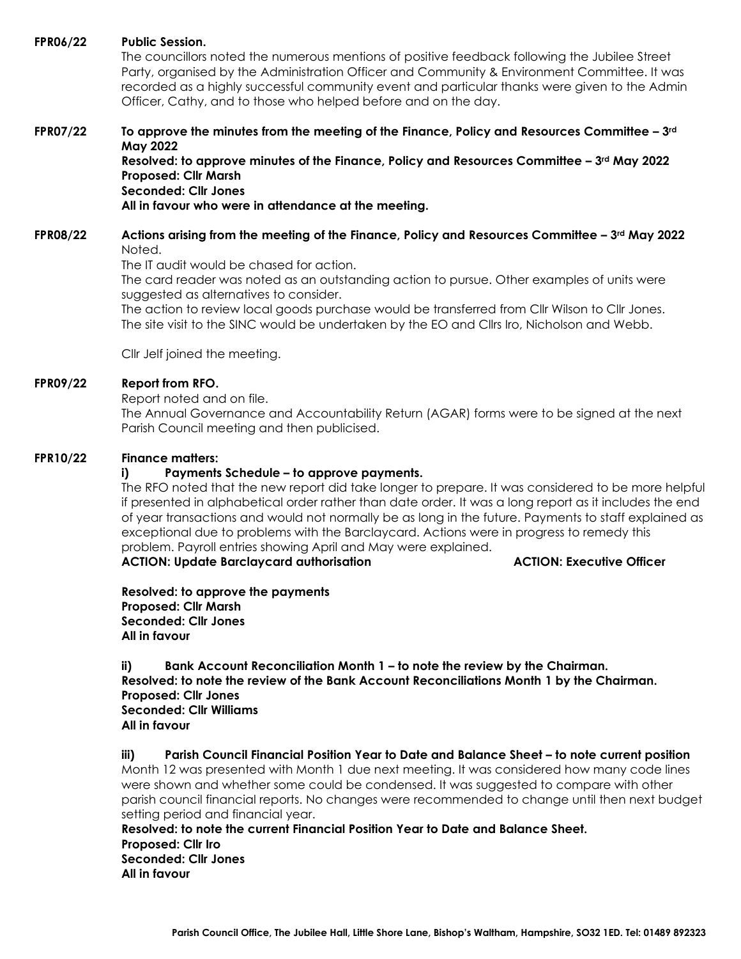# **FPR06/22 Public Session.**

The councillors noted the numerous mentions of positive feedback following the Jubilee Street Party, organised by the Administration Officer and Community & Environment Committee. It was recorded as a highly successful community event and particular thanks were given to the Admin Officer, Cathy, and to those who helped before and on the day.

# **FPR07/22 To approve the minutes from the meeting of the Finance, Policy and Resources Committee – 3rd May 2022**

**Resolved: to approve minutes of the Finance, Policy and Resources Committee – 3rd May 2022 Proposed: Cllr Marsh Seconded: Cllr Jones**

**All in favour who were in attendance at the meeting.** 

#### **FPR08/22 Actions arising from the meeting of the Finance, Policy and Resources Committee – 3rd May 2022** Noted.

The IT audit would be chased for action.

The card reader was noted as an outstanding action to pursue. Other examples of units were suggested as alternatives to consider.

The action to review local goods purchase would be transferred from Cllr Wilson to Cllr Jones. The site visit to the SINC would be undertaken by the EO and Cllrs Iro, Nicholson and Webb.

Cllr Jelf joined the meeting.

# **FPR09/22 Report from RFO.**

Report noted and on file.

The Annual Governance and Accountability Return (AGAR) forms were to be signed at the next Parish Council meeting and then publicised.

# **FPR10/22 Finance matters:**

# **i) Payments Schedule – to approve payments.**

The RFO noted that the new report did take longer to prepare. It was considered to be more helpful if presented in alphabetical order rather than date order. It was a long report as it includes the end of year transactions and would not normally be as long in the future. Payments to staff explained as exceptional due to problems with the Barclaycard. Actions were in progress to remedy this problem. Payroll entries showing April and May were explained.

**ACTION: Update Barclaycard authorisation ACTION: Executive Officer** 

**Resolved: to approve the payments Proposed: Cllr Marsh Seconded: Cllr Jones All in favour**

**ii) Bank Account Reconciliation Month 1 – to note the review by the Chairman. Resolved: to note the review of the Bank Account Reconciliations Month 1 by the Chairman. Proposed: Cllr Jones Seconded: Cllr Williams All in favour**

**iii) Parish Council Financial Position Year to Date and Balance Sheet – to note current position** Month 12 was presented with Month 1 due next meeting. It was considered how many code lines were shown and whether some could be condensed. It was suggested to compare with other parish council financial reports. No changes were recommended to change until then next budget setting period and financial year.

**Resolved: to note the current Financial Position Year to Date and Balance Sheet. Proposed: Cllr Iro Seconded: Cllr Jones All in favour**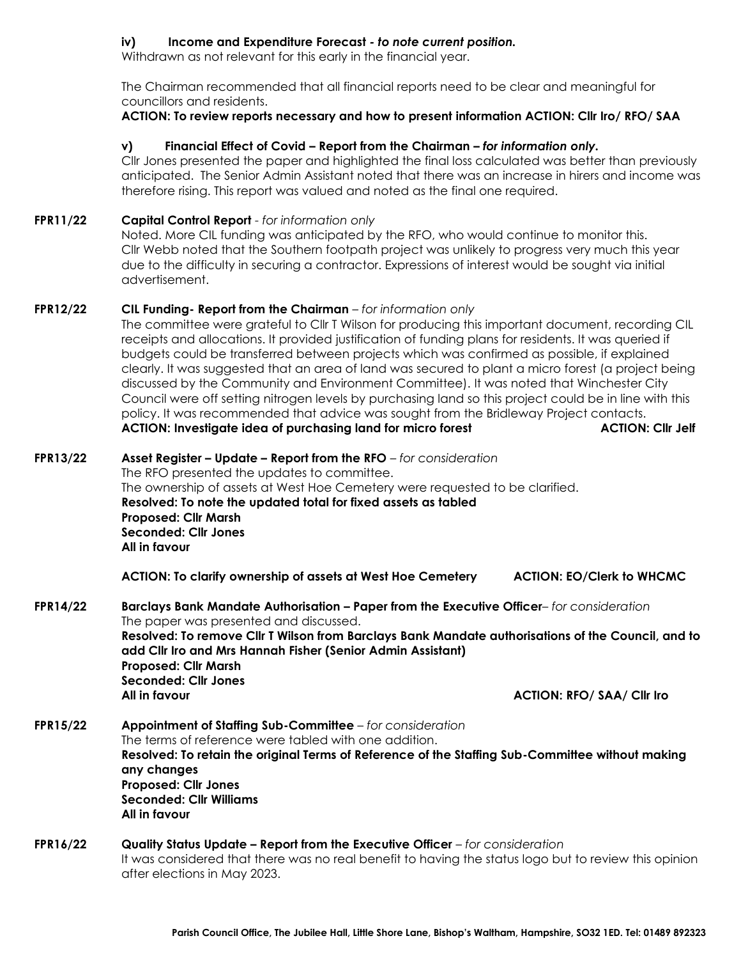# **iv) Income and Expenditure Forecast** *- to note current position.*

Withdrawn as not relevant for this early in the financial year.

The Chairman recommended that all financial reports need to be clear and meaningful for councillors and residents.

#### **ACTION: To review reports necessary and how to present information ACTION: Cllr Iro/ RFO/ SAA**

#### **v) Financial Effect of Covid – Report from the Chairman** *– for information only.*

Cllr Jones presented the paper and highlighted the final loss calculated was better than previously anticipated. The Senior Admin Assistant noted that there was an increase in hirers and income was therefore rising. This report was valued and noted as the final one required.

#### **FPR11/22 Capital Control Report** - *for information only*

Noted. More CIL funding was anticipated by the RFO, who would continue to monitor this. Cllr Webb noted that the Southern footpath project was unlikely to progress very much this year due to the difficulty in securing a contractor. Expressions of interest would be sought via initial advertisement.

#### **FPR12/22 CIL Funding- Report from the Chairman** *– for information only*

The committee were grateful to Cllr T Wilson for producing this important document, recording CIL receipts and allocations. It provided justification of funding plans for residents. It was queried if budgets could be transferred between projects which was confirmed as possible, if explained clearly. It was suggested that an area of land was secured to plant a micro forest (a project being discussed by the Community and Environment Committee). It was noted that Winchester City Council were off setting nitrogen levels by purchasing land so this project could be in line with this policy. It was recommended that advice was sought from the Bridleway Project contacts. **ACTION: Investigate idea of purchasing land for micro forest ACTION: Cllr Jelf**

# **FPR13/22 Asset Register – Update – Report from the RFO** *– for consideration*

The RFO presented the updates to committee. The ownership of assets at West Hoe Cemetery were requested to be clarified. **Resolved: To note the updated total for fixed assets as tabled Proposed: Cllr Marsh Seconded: Cllr Jones All in favour**

**ACTION: To clarify ownership of assets at West Hoe Cemetery ACTION: EO/Clerk to WHCMC**

# **FPR14/22 Barclays Bank Mandate Authorisation – Paper from the Executive Officer***– for consideration* The paper was presented and discussed. **Resolved: To remove Cllr T Wilson from Barclays Bank Mandate authorisations of the Council, and to add Cllr Iro and Mrs Hannah Fisher (Senior Admin Assistant) Proposed: Cllr Marsh Seconded: Cllr Jones All in favour ACTION: RFO/ SAA/ Cllr Iro**

#### **FPR15/22 Appointment of Staffing Sub-Committee** *– for consideration* The terms of reference were tabled with one addition. **Resolved: To retain the original Terms of Reference of the Staffing Sub-Committee without making any changes Proposed: Cllr Jones Seconded: Cllr Williams All in favour**

# **FPR16/22 Quality Status Update – Report from the Executive Officer** *– for consideration* It was considered that there was no real benefit to having the status logo but to review this opinion after elections in May 2023.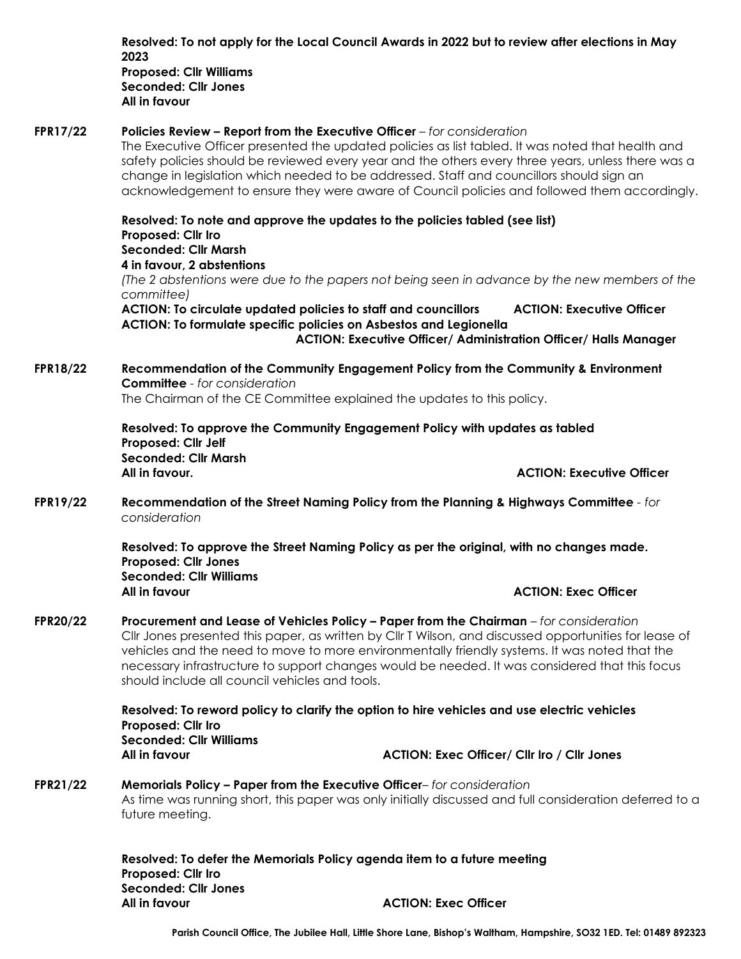|                 | 2023<br><b>Proposed: Cllr Williams</b><br><b>Seconded: Cllr Jones</b><br>All in favour                                                                                                                                                                                                                                                                                                                                                                                         | Resolved: To not apply for the Local Council Awards in 2022 but to review after elections in May                                                                                        |  |  |  |
|-----------------|--------------------------------------------------------------------------------------------------------------------------------------------------------------------------------------------------------------------------------------------------------------------------------------------------------------------------------------------------------------------------------------------------------------------------------------------------------------------------------|-----------------------------------------------------------------------------------------------------------------------------------------------------------------------------------------|--|--|--|
| <b>FPR17/22</b> | Policies Review - Report from the Executive Officer - for consideration<br>The Executive Officer presented the updated policies as list tabled. It was noted that health and<br>safety policies should be reviewed every year and the others every three years, unless there was a<br>change in legislation which needed to be addressed. Staff and councillors should sign an<br>acknowledgement to ensure they were aware of Council policies and followed them accordingly. |                                                                                                                                                                                         |  |  |  |
|                 | Resolved: To note and approve the updates to the policies tabled (see list)                                                                                                                                                                                                                                                                                                                                                                                                    |                                                                                                                                                                                         |  |  |  |
|                 | Proposed: Cllr Iro                                                                                                                                                                                                                                                                                                                                                                                                                                                             |                                                                                                                                                                                         |  |  |  |
|                 | <b>Seconded: Cllr Marsh</b>                                                                                                                                                                                                                                                                                                                                                                                                                                                    |                                                                                                                                                                                         |  |  |  |
|                 | 4 in favour, 2 abstentions<br>committee)                                                                                                                                                                                                                                                                                                                                                                                                                                       | (The 2 abstentions were due to the papers not being seen in advance by the new members of the                                                                                           |  |  |  |
|                 | <b>ACTION: To circulate updated policies to staff and councillors</b>                                                                                                                                                                                                                                                                                                                                                                                                          | <b>ACTION: Executive Officer</b><br><b>ACTION: To formulate specific policies on Asbestos and Legionella</b><br><b>ACTION: Executive Officer/ Administration Officer/ Halls Manager</b> |  |  |  |
| FPR18/22        | Recommendation of the Community Engagement Policy from the Community & Environment                                                                                                                                                                                                                                                                                                                                                                                             |                                                                                                                                                                                         |  |  |  |
|                 | <b>Committee</b> - for consideration<br>The Chairman of the CE Committee explained the updates to this policy.                                                                                                                                                                                                                                                                                                                                                                 |                                                                                                                                                                                         |  |  |  |
|                 | Resolved: To approve the Community Engagement Policy with updates as tabled<br>Proposed: Cllr Jelf                                                                                                                                                                                                                                                                                                                                                                             |                                                                                                                                                                                         |  |  |  |
|                 | <b>Seconded: Cllr Marsh</b><br>All in favour.                                                                                                                                                                                                                                                                                                                                                                                                                                  | <b>ACTION: Executive Officer</b>                                                                                                                                                        |  |  |  |
|                 |                                                                                                                                                                                                                                                                                                                                                                                                                                                                                |                                                                                                                                                                                         |  |  |  |
| <b>FPR19/22</b> | Recommendation of the Street Naming Policy from the Planning & Highways Committee - for<br>consideration                                                                                                                                                                                                                                                                                                                                                                       |                                                                                                                                                                                         |  |  |  |
|                 | Resolved: To approve the Street Naming Policy as per the original, with no changes made.<br><b>Proposed: Cllr Jones</b>                                                                                                                                                                                                                                                                                                                                                        |                                                                                                                                                                                         |  |  |  |
|                 | <b>Seconded: Cllr Williams</b>                                                                                                                                                                                                                                                                                                                                                                                                                                                 |                                                                                                                                                                                         |  |  |  |
|                 | All in favour                                                                                                                                                                                                                                                                                                                                                                                                                                                                  | <b>ACTION: Exec Officer</b>                                                                                                                                                             |  |  |  |
| <b>FPR20/22</b> | Procurement and Lease of Vehicles Policy - Paper from the Chairman - for consideration<br>CIIr Jones presented this paper, as written by CIIr T Wilson, and discussed opportunities for lease of<br>vehicles and the need to move to more environmentally friendly systems. It was noted that the<br>necessary infrastructure to support changes would be needed. It was considered that this focus<br>should include all council vehicles and tools.                          |                                                                                                                                                                                         |  |  |  |
|                 | Resolved: To reword policy to clarify the option to hire vehicles and use electric vehicles<br>Proposed: Cllr Iro                                                                                                                                                                                                                                                                                                                                                              |                                                                                                                                                                                         |  |  |  |
|                 | <b>Seconded: Cllr Williams</b>                                                                                                                                                                                                                                                                                                                                                                                                                                                 |                                                                                                                                                                                         |  |  |  |
|                 | All in favour                                                                                                                                                                                                                                                                                                                                                                                                                                                                  | ACTION: Exec Officer/ Cllr Iro / Cllr Jones                                                                                                                                             |  |  |  |
| <b>FPR21/22</b> | Memorials Policy - Paper from the Executive Officer-for consideration<br>As time was running short, this paper was only initially discussed and full consideration deferred to a<br>future meeting.                                                                                                                                                                                                                                                                            |                                                                                                                                                                                         |  |  |  |
|                 | Proposed: Cllr Iro                                                                                                                                                                                                                                                                                                                                                                                                                                                             | Resolved: To defer the Memorials Policy agenda item to a future meeting                                                                                                                 |  |  |  |
|                 | <b>Seconded: Cllr Jones</b><br>All in favour                                                                                                                                                                                                                                                                                                                                                                                                                                   | <b>ACTION: Exec Officer</b>                                                                                                                                                             |  |  |  |